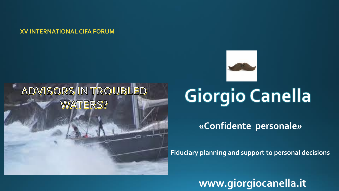**XV INTERNATIONAL CIFA FORUM**

### ADVISORS IN TROUBLED **WATERS?**



# **Giorgio Canella**

**«Confidente personale»**

**Fiduciary planning and support to personal decisions**

**www.giorgiocanella.it**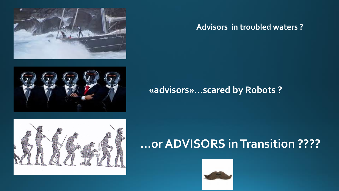#### **Advisors in troubled waters ?**

### **«advisors»…scared by Robots ?**

## **…or ADVISORS in Transition ????**





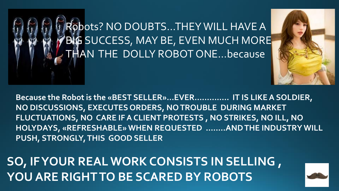Robots? NO DOUBTS…THEY WILL HAVE A BIG SUCCESS, MAY BE, EVEN MUCH MORE THAN THE DOLLY ROBOT ONE…because

**Because the Robot is the «BEST SELLER»…EVER………….. IT IS LIKE A SOLDIER, NO DISCUSSIONS, EXECUTES ORDERS, NO TROUBLE DURING MARKET FLUCTUATIONS, NO CARE IF A CLIENT PROTESTS , NO STRIKES, NO ILL, NO HOLYDAYS, «REFRESHABLE» WHEN REQUESTED ……..AND THE INDUSTRY WILL PUSH, STRONGLY, THIS GOOD SELLER** 

**SO, IF YOUR REAL WORK CONSISTS IN SELLING , YOU ARE RIGHT TO BE SCARED BY ROBOTS**

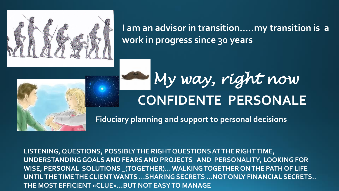

**I am an advisor in transition…..my transition is a work in progress since 30 years**



# **CONFIDENTE PERSONALE** *My way, right now*

**Fiduciary planning and support to personal decisions**

**LISTENING, QUESTIONS, POSSIBLY THE RIGHT QUESTIONS AT THE RIGHT TIME, UNDERSTANDING GOALS AND FEARS AND PROJECTS AND PERSONALITY, LOOKING FOR WISE, PERSONAL SOLUTIONS \_(TOGETHER)… WALKING TOGETHER ON THE PATH OF LIFE UNTIL THE TIME THE CLIENT WANTS …SHARING SECRETS …NOT ONLY FINANCIAL SECRETS.. THE MOST EFFICIENT «CLUE»…BUT NOT EASY TO MANAGE**